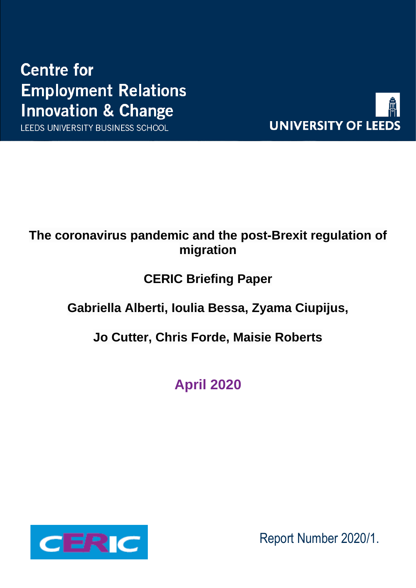# **Centre for Employment Relations Innovation & Change**

LEEDS UNIVERSITY BUSINESS SCHOOL



## **The coronavirus pandemic and the post-Brexit regulation of migration**

## **CERIC Briefing Paper**

## **Gabriella Alberti, Ioulia Bessa, Zyama Ciupijus,**

## **Jo Cutter, Chris Forde, Maisie Roberts**

**April 2020**



Report Number 2020/1.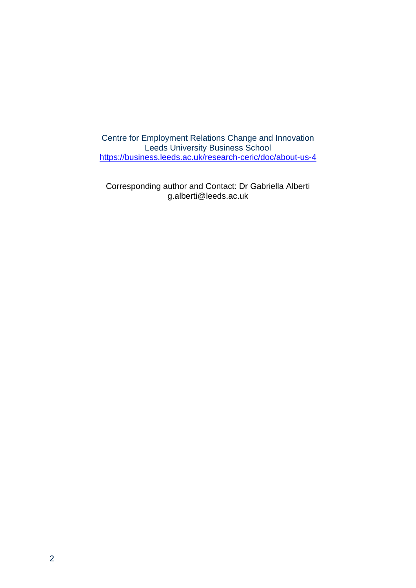Centre for Employment Relations Change and Innovation Leeds University Business School <https://business.leeds.ac.uk/research-ceric/doc/about-us-4>

Corresponding author and Contact: Dr Gabriella Alberti [g.alberti@leeds.ac.uk](mailto:g.alberti@leeds.ac.uk)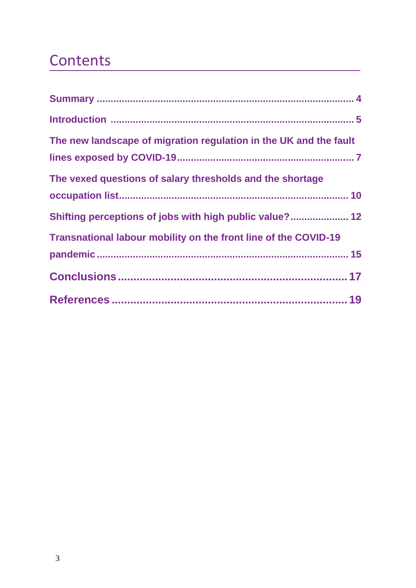# **Contents**

| The new landscape of migration regulation in the UK and the fault |
|-------------------------------------------------------------------|
| The vexed questions of salary thresholds and the shortage         |
| Shifting perceptions of jobs with high public value? 12           |
| Transnational labour mobility on the front line of the COVID-19   |
|                                                                   |
|                                                                   |
|                                                                   |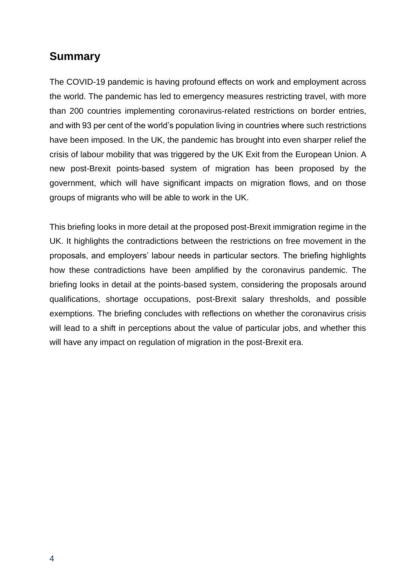#### **Summary**

The COVID-19 pandemic is having profound effects on work and employment across the world. The pandemic has led to emergency measures restricting travel, with more than 200 countries implementing coronavirus-related restrictions on border entries, and with 93 per cent of the world's population living in countries where such restrictions have been imposed. In the UK, the pandemic has brought into even sharper relief the crisis of labour mobility that was triggered by the UK Exit from the European Union. A new post-Brexit points-based system of migration has been proposed by the government, which will have significant impacts on migration flows, and on those groups of migrants who will be able to work in the UK.

This briefing looks in more detail at the proposed post-Brexit immigration regime in the UK. It highlights the contradictions between the restrictions on free movement in the proposals, and employers' labour needs in particular sectors. The briefing highlights how these contradictions have been amplified by the coronavirus pandemic. The briefing looks in detail at the points-based system, considering the proposals around qualifications, shortage occupations, post-Brexit salary thresholds, and possible exemptions. The briefing concludes with reflections on whether the coronavirus crisis will lead to a shift in perceptions about the value of particular jobs, and whether this will have any impact on regulation of migration in the post-Brexit era.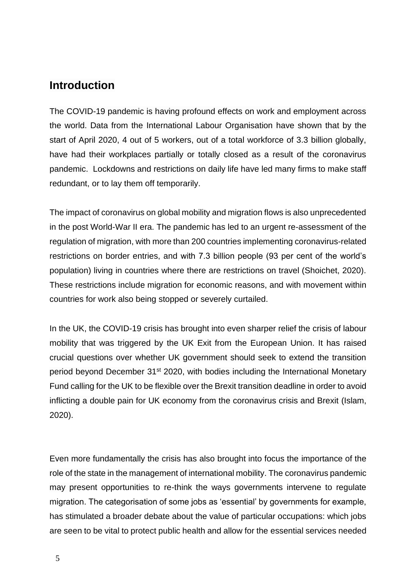#### **Introduction**

The COVID-19 pandemic is having profound effects on work and employment across the world. Data from the International Labour Organisation have shown that by the start of April 2020, 4 out of 5 workers, out of a total workforce of 3.3 billion globally, have had their workplaces partially or totally closed as a result of the coronavirus pandemic. Lockdowns and restrictions on daily life have led many firms to make staff redundant, or to lay them off temporarily.

The impact of coronavirus on global mobility and migration flows is also unprecedented in the post World-War II era. The pandemic has led to an urgent re-assessment of the regulation of migration, with more than 200 countries implementing coronavirus-related restrictions on border entries, and with 7.3 billion people (93 per cent of the world's population) living in countries where there are restrictions on travel (Shoichet, 2020). These restrictions include migration for economic reasons, and with movement within countries for work also being stopped or severely curtailed.

In the UK, the COVID-19 crisis has brought into even sharper relief the crisis of labour mobility that was triggered by the UK Exit from the European Union. It has raised crucial questions over whether UK government should seek to extend the transition period beyond December 31<sup>st</sup> 2020, with bodies including the International Monetary Fund calling for the UK to be flexible over the Brexit transition deadline in order to avoid inflicting a double pain for UK economy from the coronavirus crisis and Brexit (Islam, 2020).

Even more fundamentally the crisis has also brought into focus the importance of the role of the state in the management of international mobility. The coronavirus pandemic may present opportunities to re-think the ways governments intervene to regulate migration. The categorisation of some jobs as 'essential' by governments for example, has stimulated a broader debate about the value of particular occupations: which jobs are seen to be vital to protect public health and allow for the essential services needed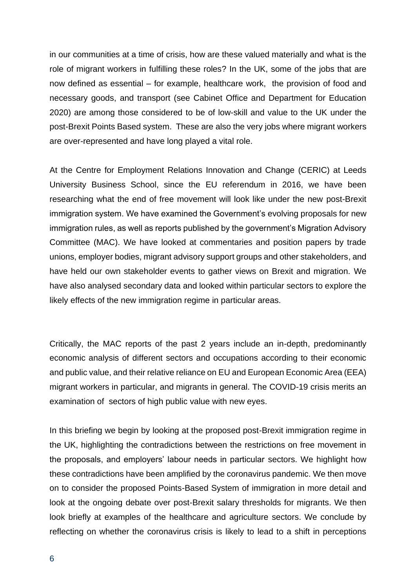in our communities at a time of crisis, how are these valued materially and what is the role of migrant workers in fulfilling these roles? In the UK, some of the jobs that are now defined as essential – for example, healthcare work, the provision of food and necessary goods, and transport (see Cabinet Office and Department for Education 2020) are among those considered to be of low-skill and value to the UK under the post-Brexit Points Based system. These are also the very jobs where migrant workers are over-represented and have long played a vital role.

At the Centre for Employment Relations Innovation and Change (CERIC) at Leeds University Business School, since the EU referendum in 2016, we have been researching what the end of free movement will look like under the new post-Brexit immigration system. We have examined the Government's evolving proposals for new immigration rules, as well as reports published by the government's Migration Advisory Committee (MAC). We have looked at commentaries and position papers by trade unions, employer bodies, migrant advisory support groups and other stakeholders, and have held our own stakeholder events to gather views on Brexit and migration. We have also analysed secondary data and looked within particular sectors to explore the likely effects of the new immigration regime in particular areas.

Critically, the MAC reports of the past 2 years include an in-depth, predominantly economic analysis of different sectors and occupations according to their economic and public value, and their relative reliance on EU and European Economic Area (EEA) migrant workers in particular, and migrants in general. The COVID-19 crisis merits an examination of sectors of high public value with new eyes.

In this briefing we begin by looking at the proposed post-Brexit immigration regime in the UK, highlighting the contradictions between the restrictions on free movement in the proposals, and employers' labour needs in particular sectors. We highlight how these contradictions have been amplified by the coronavirus pandemic. We then move on to consider the proposed Points-Based System of immigration in more detail and look at the ongoing debate over post-Brexit salary thresholds for migrants. We then look briefly at examples of the healthcare and agriculture sectors. We conclude by reflecting on whether the coronavirus crisis is likely to lead to a shift in perceptions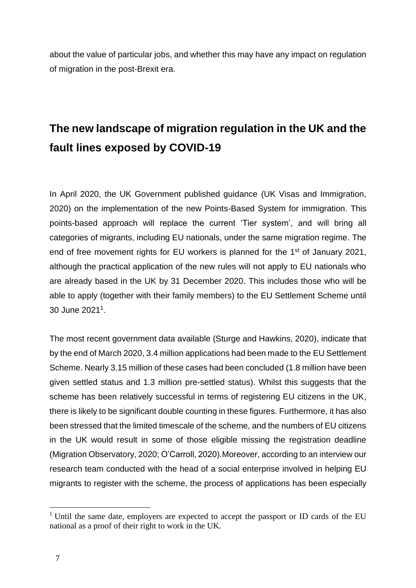about the value of particular jobs, and whether this may have any impact on regulation of migration in the post-Brexit era.

## **The new landscape of migration regulation in the UK and the fault lines exposed by COVID-19**

In April 2020, the UK Government published guidance (UK Visas and Immigration, 2020) on the implementation of the new Points-Based System for immigration. This points-based approach will replace the current 'Tier system', and will bring all categories of migrants, including EU nationals, under the same migration regime. The end of free movement rights for EU workers is planned for the 1<sup>st</sup> of January 2021, although the practical application of the new rules will not apply to EU nationals who are already based in the UK by 31 December 2020. This includes those who will be able to apply (together with their family members) to the EU Settlement Scheme until 30 June 2021<sup>1</sup>.

The most recent government data available (Sturge and Hawkins, 2020), indicate that by the end of March 2020, 3.4 million applications had been made to the EU Settlement Scheme. Nearly 3.15 million of these cases had been concluded (1.8 million have been given settled status and 1.3 million pre-settled status). Whilst this suggests that the scheme has been relatively successful in terms of registering EU citizens in the UK, there is likely to be significant double counting in these figures. Furthermore, it has also been stressed that the limited timescale of the scheme, and the numbers of EU citizens in the UK would result in some of those eligible missing the registration deadline (Migration Observatory, 2020; O'Carroll, 2020).Moreover, according to an interview our research team conducted with the head of a social enterprise involved in helping EU migrants to register with the scheme, the process of applications has been especially

 $1$  Until the same date, employers are expected to accept the passport or ID cards of the EU national as a proof of their right to work in the UK.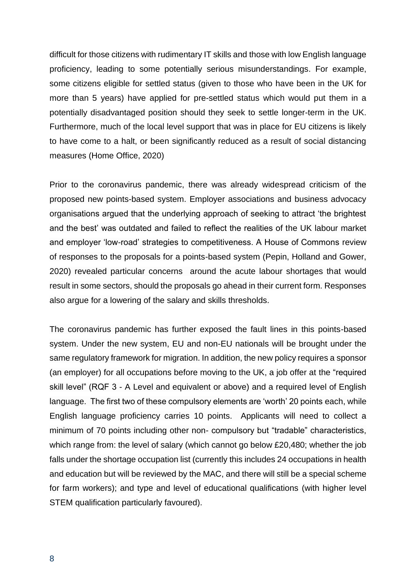difficult for those citizens with rudimentary IT skills and those with low English language proficiency, leading to some potentially serious misunderstandings. For example, some citizens eligible for settled status (given to those who have been in the UK for more than 5 years) have applied for pre-settled status which would put them in a potentially disadvantaged position should they seek to settle longer-term in the UK. Furthermore, much of the local level support that was in place for EU citizens is likely to have come to a halt, or been significantly reduced as a result of social distancing measures (Home Office, 2020)

Prior to the coronavirus pandemic, there was already widespread criticism of the proposed new points-based system. Employer associations and business advocacy organisations argued that the underlying approach of seeking to attract 'the brightest and the best' was outdated and failed to reflect the realities of the UK labour market and employer 'low-road' strategies to competitiveness. A House of Commons review of responses to the proposals for a points-based system (Pepin, Holland and Gower, 2020) revealed particular concerns around the acute labour shortages that would result in some sectors, should the proposals go ahead in their current form. Responses also argue for a lowering of the salary and skills thresholds.

The coronavirus pandemic has further exposed the fault lines in this points-based system. Under the new system, EU and non-EU nationals will be brought under the same regulatory framework for migration. In addition, the new policy requires a sponsor (an employer) for all occupations before moving to the UK, a job offer at the "required skill level" (RQF 3 - A Level and equivalent or above) and a required level of English language. The first two of these compulsory elements are 'worth' 20 points each, while English language proficiency carries 10 points. Applicants will need to collect a minimum of 70 points including other non- compulsory but "tradable" characteristics, which range from: the level of salary (which cannot go below £20,480; whether the job falls under the shortage occupation list (currently this includes 24 occupations in health and education but will be reviewed by the MAC, and there will still be a special scheme for farm workers); and type and level of educational qualifications (with higher level STEM qualification particularly favoured).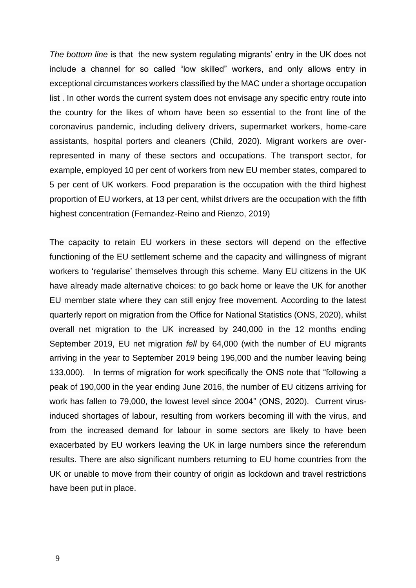*The bottom line* is that the new system regulating migrants' entry in the UK does not include a channel for so called "low skilled" workers, and only allows entry in exceptional circumstances workers classified by the MAC under a shortage occupation list . In other words the current system does not envisage any specific entry route into the country for the likes of whom have been so essential to the front line of the coronavirus pandemic, including delivery drivers, supermarket workers, home-care assistants, hospital porters and cleaners (Child, 2020). Migrant workers are overrepresented in many of these sectors and occupations. The transport sector, for example, employed 10 per cent of workers from new EU member states, compared to 5 per cent of UK workers. Food preparation is the occupation with the third highest proportion of EU workers, at 13 per cent, whilst drivers are the occupation with the fifth highest concentration (Fernandez-Reino and Rienzo, 2019)

The capacity to retain EU workers in these sectors will depend on the effective functioning of the EU settlement scheme and the capacity and willingness of migrant workers to 'regularise' themselves through this scheme. Many EU citizens in the UK have already made alternative choices: to go back home or leave the UK for another EU member state where they can still enjoy free movement. According to the latest quarterly report on migration from the Office for National Statistics (ONS, 2020), whilst overall net migration to the UK increased by 240,000 in the 12 months ending September 2019, EU net migration *fell* by 64,000 (with the number of EU migrants arriving in the year to September 2019 being 196,000 and the number leaving being 133,000). In terms of migration for work specifically the ONS note that "following a peak of 190,000 in the year ending June 2016, the number of EU citizens arriving for work has fallen to 79,000, the lowest level since 2004" (ONS, 2020). Current virusinduced shortages of labour, resulting from workers becoming ill with the virus, and from the increased demand for labour in some sectors are likely to have been exacerbated by EU workers leaving the UK in large numbers since the referendum results. There are also significant numbers returning to EU home countries from the UK or unable to move from their country of origin as lockdown and travel restrictions have been put in place.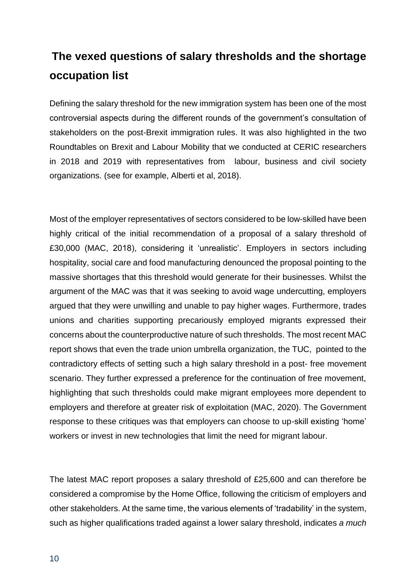## **The vexed questions of salary thresholds and the shortage occupation list**

Defining the salary threshold for the new immigration system has been one of the most controversial aspects during the different rounds of the government's consultation of stakeholders on the post-Brexit immigration rules. It was also highlighted in the two Roundtables on Brexit and Labour Mobility that we conducted at CERIC researchers in 2018 and 2019 with representatives from labour, business and civil society organizations. (see for example, Alberti et al, 2018).

Most of the employer representatives of sectors considered to be low-skilled have been highly critical of the initial recommendation of a proposal of a salary threshold of £30,000 (MAC, 2018), considering it 'unrealistic'. Employers in sectors including hospitality, social care and food manufacturing denounced the proposal pointing to the massive shortages that this threshold would generate for their businesses. Whilst the argument of the MAC was that it was seeking to avoid wage undercutting, employers argued that they were unwilling and unable to pay higher wages. Furthermore, trades unions and charities supporting precariously employed migrants expressed their concerns about the counterproductive nature of such thresholds. The most recent MAC report shows that even the trade union umbrella organization, the TUC, pointed to the contradictory effects of setting such a high salary threshold in a post- free movement scenario. They further expressed a preference for the continuation of free movement, highlighting that such thresholds could make migrant employees more dependent to employers and therefore at greater risk of exploitation (MAC, 2020). The Government response to these critiques was that employers can choose to up-skill existing 'home' workers or invest in new technologies that limit the need for migrant labour.

The latest MAC report proposes a salary threshold of £25,600 and can therefore be considered a compromise by the Home Office, following the criticism of employers and other stakeholders. At the same time, the various elements of 'tradability' in the system, such as higher qualifications traded against a lower salary threshold, indicates *a much*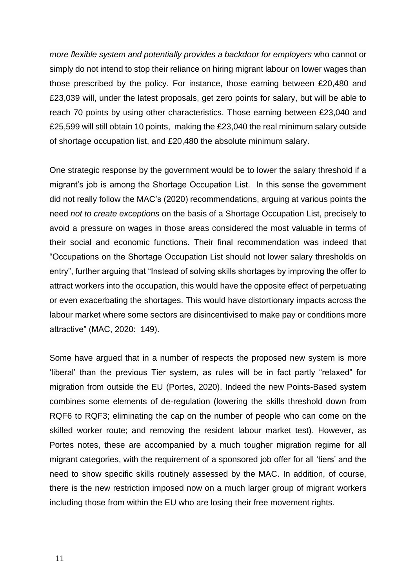*more flexible system and potentially provides a backdoor for employers* who cannot or simply do not intend to stop their reliance on hiring migrant labour on lower wages than those prescribed by the policy. For instance, those earning between £20,480 and £23,039 will, under the latest proposals, get zero points for salary, but will be able to reach 70 points by using other characteristics. Those earning between £23,040 and £25,599 will still obtain 10 points, making the £23,040 the real minimum salary outside of shortage occupation list, and £20,480 the absolute minimum salary.

One strategic response by the government would be to lower the salary threshold if a migrant's job is among the Shortage Occupation List. In this sense the government did not really follow the MAC's (2020) recommendations, arguing at various points the need *not to create exceptions* on the basis of a Shortage Occupation List, precisely to avoid a pressure on wages in those areas considered the most valuable in terms of their social and economic functions. Their final recommendation was indeed that "Occupations on the Shortage Occupation List should not lower salary thresholds on entry", further arguing that "Instead of solving skills shortages by improving the offer to attract workers into the occupation, this would have the opposite effect of perpetuating or even exacerbating the shortages. This would have distortionary impacts across the labour market where some sectors are disincentivised to make pay or conditions more attractive" (MAC, 2020: 149).

Some have argued that in a number of respects the proposed new system is more 'liberal' than the previous Tier system, as rules will be in fact partly "relaxed" for migration from outside the EU (Portes, 2020). Indeed the new Points-Based system combines some elements of de-regulation (lowering the skills threshold down from RQF6 to RQF3; eliminating the cap on the number of people who can come on the skilled worker route; and removing the resident labour market test). However, as Portes notes, these are accompanied by a much tougher migration regime for all migrant categories, with the requirement of a sponsored job offer for all 'tiers' and the need to show specific skills routinely assessed by the MAC. In addition, of course, there is the new restriction imposed now on a much larger group of migrant workers including those from within the EU who are losing their free movement rights.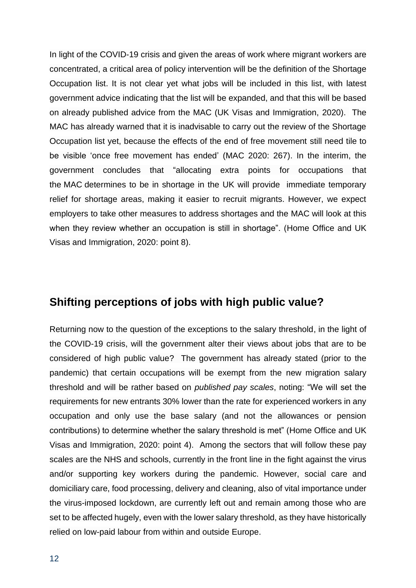In light of the COVID-19 crisis and given the areas of work where migrant workers are concentrated, a critical area of policy intervention will be the definition of the Shortage Occupation list. It is not clear yet what jobs will be included in this list, with latest government advice indicating that the list will be expanded, and that this will be based on already published advice from the MAC (UK Visas and Immigration, 2020). The MAC has already warned that it is inadvisable to carry out the review of the Shortage Occupation list yet, because the effects of the end of free movement still need tile to be visible 'once free movement has ended' (MAC 2020: 267). In the interim, the government concludes that "allocating extra points for occupations that the MAC determines to be in shortage in the UK will provide immediate temporary relief for shortage areas, making it easier to recruit migrants. However, we expect employers to take other measures to address shortages and the MAC will look at this when they review whether an occupation is still in shortage". (Home Office and UK Visas and Immigration, 2020: point 8).

#### **Shifting perceptions of jobs with high public value?**

Returning now to the question of the exceptions to the salary threshold, in the light of the COVID-19 crisis, will the government alter their views about jobs that are to be considered of high public value? The government has already stated (prior to the pandemic) that certain occupations will be exempt from the new migration salary threshold and will be rather based on *published pay scales*, noting: "We will set the requirements for new entrants 30% lower than the rate for experienced workers in any occupation and only use the base salary (and not the allowances or pension contributions) to determine whether the salary threshold is met" (Home Office and UK Visas and Immigration, 2020: point 4). Among the sectors that will follow these pay scales are the NHS and schools, currently in the front line in the fight against the virus and/or supporting key workers during the pandemic. However, social care and domiciliary care, food processing, delivery and cleaning, also of vital importance under the virus-imposed lockdown, are currently left out and remain among those who are set to be affected hugely, even with the lower salary threshold, as they have historically relied on low-paid labour from within and outside Europe.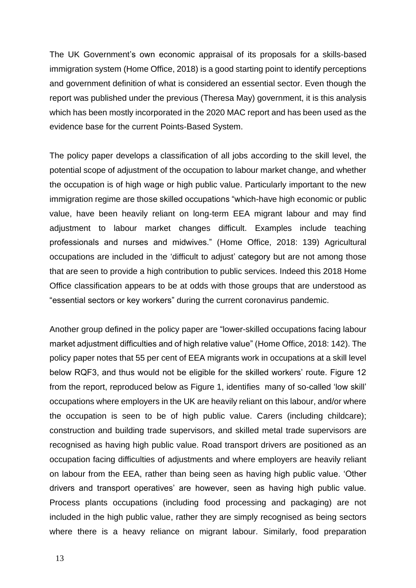The UK Government's own economic appraisal of its proposals for a skills-based immigration system (Home Office, 2018) is a good starting point to identify perceptions and government definition of what is considered an essential sector. Even though the report was published under the previous (Theresa May) government, it is this analysis which has been mostly incorporated in the 2020 MAC report and has been used as the evidence base for the current Points-Based System.

The policy paper develops a classification of all jobs according to the skill level, the potential scope of adjustment of the occupation to labour market change, and whether the occupation is of high wage or high public value. Particularly important to the new immigration regime are those skilled occupations "which-have high economic or public value, have been heavily reliant on long-term EEA migrant labour and may find adjustment to labour market changes difficult. Examples include teaching professionals and nurses and midwives." (Home Office, 2018: 139) Agricultural occupations are included in the 'difficult to adjust' category but are not among those that are seen to provide a high contribution to public services. Indeed this 2018 Home Office classification appears to be at odds with those groups that are understood as "essential sectors or key workers" during the current coronavirus pandemic.

Another group defined in the policy paper are "lower-skilled occupations facing labour market adjustment difficulties and of high relative value" (Home Office, 2018: 142). The policy paper notes that 55 per cent of EEA migrants work in occupations at a skill level below RQF3, and thus would not be eligible for the skilled workers' route. Figure 12 from the report, reproduced below as Figure 1, identifies many of so-called 'low skill' occupations where employers in the UK are heavily reliant on this labour, and/or where the occupation is seen to be of high public value. Carers (including childcare); construction and building trade supervisors, and skilled metal trade supervisors are recognised as having high public value. Road transport drivers are positioned as an occupation facing difficulties of adjustments and where employers are heavily reliant on labour from the EEA, rather than being seen as having high public value. 'Other drivers and transport operatives' are however, seen as having high public value. Process plants occupations (including food processing and packaging) are not included in the high public value, rather they are simply recognised as being sectors where there is a heavy reliance on migrant labour. Similarly, food preparation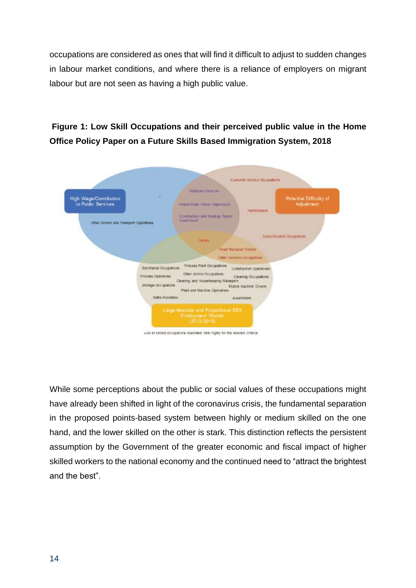occupations are considered as ones that will find it difficult to adjust to sudden changes in labour market conditions, and where there is a reliance of employers on migrant labour but are not seen as having a high public value.



#### **Figure 1: Low Skill Occupations and their perceived public value in the Home Office Policy Paper on a Future Skills Based Immigration System, 2018**

Low enskilled occupations illustrated rark mgmy for the relevant oritegal

While some perceptions about the public or social values of these occupations might have already been shifted in light of the coronavirus crisis, the fundamental separation in the proposed points-based system between highly or medium skilled on the one hand, and the lower skilled on the other is stark. This distinction reflects the persistent assumption by the Government of the greater economic and fiscal impact of higher skilled workers to the national economy and the continued need to "attract the brightest and the best".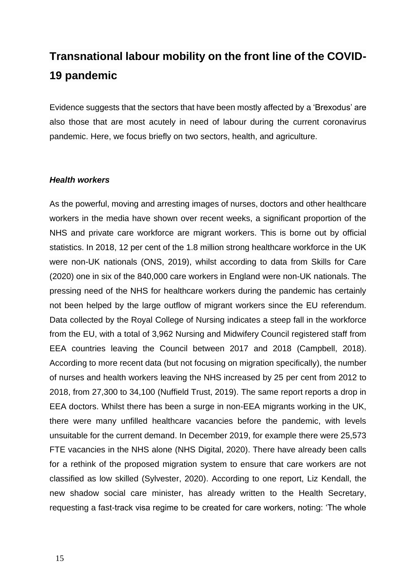## **Transnational labour mobility on the front line of the COVID-19 pandemic**

Evidence suggests that the sectors that have been mostly affected by a 'Brexodus' are also those that are most acutely in need of labour during the current coronavirus pandemic. Here, we focus briefly on two sectors, health, and agriculture.

#### *Health workers*

As the powerful, moving and arresting images of nurses, doctors and other healthcare workers in the media have shown over recent weeks, a significant proportion of the NHS and private care workforce are migrant workers. This is borne out by official statistics. In 2018, 12 per cent of the 1.8 million strong healthcare workforce in the UK were non-UK nationals (ONS, 2019), whilst according to data from Skills for Care (2020) one in six of the 840,000 care workers in England were non-UK nationals. The pressing need of the NHS for healthcare workers during the pandemic has certainly not been helped by the large outflow of migrant workers since the EU referendum. Data collected by the Royal College of Nursing indicates a steep fall in the workforce from the EU, with a total of 3,962 Nursing and [Midwifery](https://www.theguardian.com/society/midwifery) Council registered staff from EEA countries leaving the Council between 2017 and 2018 [\(Campbell, 2018\)](https://www.theguardian.com/society/2018/apr/25/brexit-blamed-record-number-eu-nurses-give-up-britain). According to more recent data (but not focusing on migration specifically), the number of nurses and health workers leaving the NHS increased by 25 per cent from 2012 to 2018, from 27,300 to 34,100 (Nuffield Trust, 2019). The same report reports a drop in EEA doctors. Whilst there has been a surge in non-EEA migrants working in the UK, there were many unfilled healthcare vacancies before the pandemic, with levels unsuitable for the current demand. In December 2019, for example there were 25,573 FTE vacancies in the NHS alone (NHS Digital, 2020). There have already been calls for a rethink of the proposed migration system to ensure that care workers are not classified as low skilled (Sylvester, 2020). According to one report, Liz Kendall, the new shadow social care minister, has already written to the Health Secretary, requesting a fast-track visa regime to be created for care workers, noting: 'The whole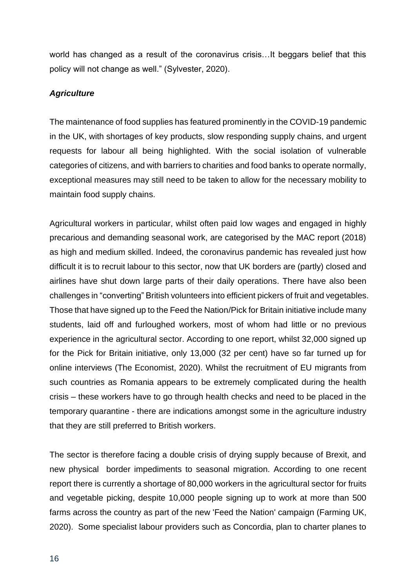world has changed as a result of the coronavirus crisis…It beggars belief that this policy will not change as well." (Sylvester, 2020).

#### *Agriculture*

The maintenance of food supplies has featured prominently in the COVID-19 pandemic in the UK, with shortages of key products, slow responding supply chains, and urgent requests for labour all being highlighted. With the social isolation of vulnerable categories of citizens, and with barriers to charities and food banks to operate normally, exceptional measures may still need to be taken to allow for the necessary mobility to maintain food supply chains.

Agricultural workers in particular, whilst often paid low wages and engaged in highly precarious and demanding seasonal work, are categorised by the MAC report (2018) as high and medium skilled. Indeed, the coronavirus pandemic has revealed just how difficult it is to recruit labour to this sector, now that UK borders are (partly) closed and airlines have shut down large parts of their daily operations. There have also been challenges in "converting" British volunteers into efficient pickers of fruit and vegetables. Those that have signed up to the Feed the Nation/Pick for Britain initiative include many students, laid off and furloughed workers, most of whom had little or no previous experience in the agricultural sector. According to one report, whilst 32,000 signed up for the Pick for Britain initiative, only 13,000 (32 per cent) have so far turned up for online interviews (The Economist, 2020). Whilst the recruitment of EU migrants from such countries as Romania appears to be extremely complicated during the health crisis – these workers have to go through health checks and need to be placed in the temporary quarantine - there are indications amongst some in the agriculture industry that they are still preferred to British workers.

The sector is therefore facing a double crisis of drying supply because of Brexit, and new physical border impediments to seasonal migration. According to one recent report there is currently a shortage of 80,000 workers in the agricultural sector for fruits and vegetable picking, despite 10,000 people signing up to work at more than 500 farms across the country as part of the new ['Feed the Nation'](https://www.concordiavolunteers.org.uk/feed-the-nation) campaign (Farming UK, 2020). Some specialist labour providers such as Concordia, plan to charter planes to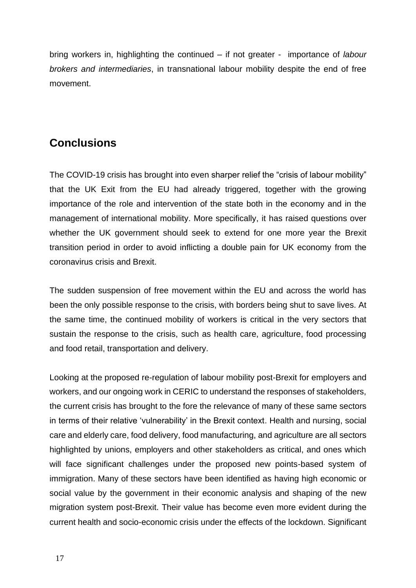bring workers in, highlighting the continued – if not greater - importance of *labour brokers and intermediaries*, in transnational labour mobility despite the end of free movement.

### **Conclusions**

The COVID-19 crisis has brought into even sharper relief the "crisis of labour mobility" that the UK Exit from the EU had already triggered, together with the growing importance of the role and intervention of the state both in the economy and in the management of international mobility. More specifically, it has raised questions over whether the UK government should seek to extend for one more year the Brexit transition period in order to avoid inflicting a double pain for UK economy from the coronavirus crisis and Brexit.

The sudden suspension of free movement within the EU and across the world has been the only possible response to the crisis, with borders being shut to save lives. At the same time, the continued mobility of workers is critical in the very sectors that sustain the response to the crisis, such as health care, agriculture, food processing and food retail, transportation and delivery.

Looking at the proposed re-regulation of labour mobility post-Brexit for employers and workers, and our ongoing work in CERIC to understand the responses of stakeholders, the current crisis has brought to the fore the relevance of many of these same sectors in terms of their relative 'vulnerability' in the Brexit context. Health and nursing, social care and elderly care, food delivery, food manufacturing, and agriculture are all sectors highlighted by unions, employers and other stakeholders as critical, and ones which will face significant challenges under the proposed new points-based system of immigration. Many of these sectors have been identified as having high economic or social value by the government in their economic analysis and shaping of the new migration system post-Brexit. Their value has become even more evident during the current health and socio-economic crisis under the effects of the lockdown. Significant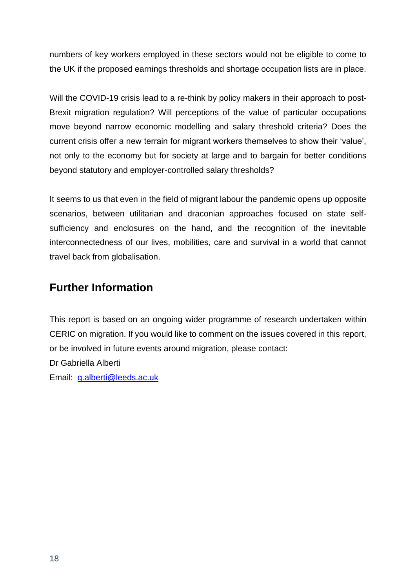numbers of key workers employed in these sectors would not be eligible to come to the UK if the proposed earnings thresholds and shortage occupation lists are in place.

Will the COVID-19 crisis lead to a re-think by policy makers in their approach to post-Brexit migration regulation? Will perceptions of the value of particular occupations move beyond narrow economic modelling and salary threshold criteria? Does the current crisis offer a new terrain for migrant workers themselves to show their 'value', not only to the economy but for society at large and to bargain for better conditions beyond statutory and employer-controlled salary thresholds?

It seems to us that even in the field of migrant labour the pandemic opens up opposite scenarios, between utilitarian and draconian approaches focused on state selfsufficiency and enclosures on the hand, and the recognition of the inevitable interconnectedness of our lives, mobilities, care and survival in a world that cannot travel back from globalisation.

### **Further Information**

This report is based on an ongoing wider programme of research undertaken within CERIC on migration. If you would like to comment on the issues covered in this report, or be involved in future events around migration, please contact:

Dr Gabriella Alberti

Email: [g.alberti@leeds.ac.uk](mailto:g.alberti@leeds.ac.uk)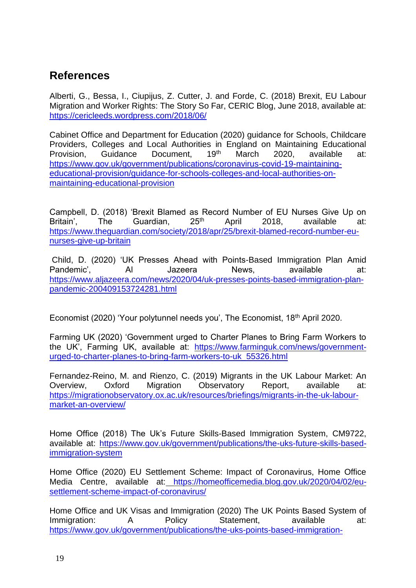### **References**

Alberti, G., Bessa, I., Ciupijus, Z. Cutter, J. and Forde, C. (2018) Brexit, EU Labour Migration and Worker Rights: The Story So Far, CERIC Blog, June 2018, available at: <https://cericleeds.wordpress.com/2018/06/>

Cabinet Office and Department for Education (2020) guidance for Schools, Childcare Providers, Colleges and Local Authorities in England on Maintaining Educational Provision, Guidance Document, 19<sup>th</sup> March 2020, available at: [https://www.gov.uk/government/publications/coronavirus-covid-19-maintaining](https://www.gov.uk/government/publications/coronavirus-covid-19-maintaining-educational-provision/guidance-for-schools-colleges-and-local-authorities-on-maintaining-educational-provision)[educational-provision/guidance-for-schools-colleges-and-local-authorities-on](https://www.gov.uk/government/publications/coronavirus-covid-19-maintaining-educational-provision/guidance-for-schools-colleges-and-local-authorities-on-maintaining-educational-provision)[maintaining-educational-provision](https://www.gov.uk/government/publications/coronavirus-covid-19-maintaining-educational-provision/guidance-for-schools-colleges-and-local-authorities-on-maintaining-educational-provision)

Campbell, D. (2018) 'Brexit Blamed as Record Number of EU Nurses Give Up on Britain', The Guardian, 25<sup>th</sup> April 2018, available at: [https://www.theguardian.com/society/2018/apr/25/brexit-blamed-record-number-eu](https://www.theguardian.com/society/2018/apr/25/brexit-blamed-record-number-eu-nurses-give-up-britain)[nurses-give-up-britain](https://www.theguardian.com/society/2018/apr/25/brexit-blamed-record-number-eu-nurses-give-up-britain)

Child, D. (2020) 'UK Presses Ahead with Points-Based Immigration Plan Amid Pandemic', Al Jazeera News, available at: [https://www.aljazeera.com/news/2020/04/uk-presses-points-based-immigration-plan](https://www.aljazeera.com/news/2020/04/uk-presses-points-based-immigration-plan-pandemic-200409153724281.html)[pandemic-200409153724281.html](https://www.aljazeera.com/news/2020/04/uk-presses-points-based-immigration-plan-pandemic-200409153724281.html)

Economist (2020) 'Your polytunnel needs you', The Economist, 18<sup>th</sup> April 2020.

Farming UK (2020) 'Government urged to Charter Planes to Bring Farm Workers to the UK', Farming UK, available at: [https://www.farminguk.com/news/government](https://www.farminguk.com/news/government-urged-to-charter-planes-to-bring-farm-workers-to-uk_55326.html)[urged-to-charter-planes-to-bring-farm-workers-to-uk\\_55326.html](https://www.farminguk.com/news/government-urged-to-charter-planes-to-bring-farm-workers-to-uk_55326.html)

Fernandez-Reino, M. and Rienzo, C. (2019) Migrants in the UK Labour Market: An Overview, Oxford Migration Observatory Report, available at: [https://migrationobservatory.ox.ac.uk/resources/briefings/migrants-in-the-uk-labour](https://migrationobservatory.ox.ac.uk/resources/briefings/migrants-in-the-uk-labour-market-an-overview/)[market-an-overview/](https://migrationobservatory.ox.ac.uk/resources/briefings/migrants-in-the-uk-labour-market-an-overview/)

Home Office (2018) The Uk's Future Skills-Based Immigration System, CM9722, available at: [https://www.gov.uk/government/publications/the-uks-future-skills-based](https://www.gov.uk/government/publications/the-uks-future-skills-based-immigration-system)[immigration-system](https://www.gov.uk/government/publications/the-uks-future-skills-based-immigration-system)

Home Office (2020) EU Settlement Scheme: Impact of Coronavirus, Home Office Media Centre, available at: [https://homeofficemedia.blog.gov.uk/2020/04/02/eu](https://homeofficemedia.blog.gov.uk/2020/04/02/eu-settlement-scheme-impact-of-coronavirus/)[settlement-scheme-impact-of-coronavirus/](https://homeofficemedia.blog.gov.uk/2020/04/02/eu-settlement-scheme-impact-of-coronavirus/)

Home Office and UK Visas and Immigration (2020) The UK Points Based System of Immigration: A Policy Statement, available at: https://www.gov.uk/government/publications/the-uks-points-based-immigration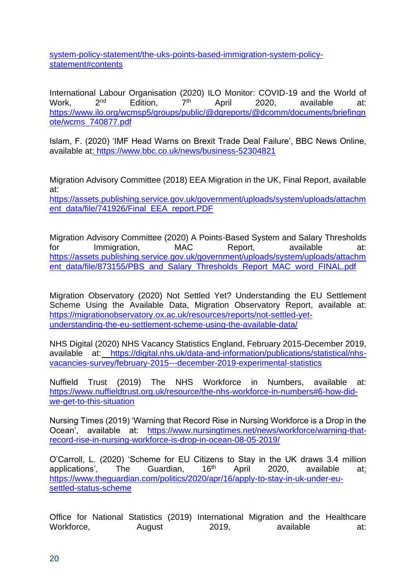system-policy-statement/the-uks-points-based-immigration-system-policystatement#contents

International Labour Organisation (2020) ILO Monitor: COVID-19 and the World of Work, 2<sup>nd</sup> Edition, 7<sup>th</sup> April 2020, available at: [https://www.ilo.org/wcmsp5/groups/public/@dgreports/@dcomm/documents/briefingn](https://www.ilo.org/wcmsp5/groups/public/@dgreports/@dcomm/documents/briefingnote/wcms_740877.pdf) [ote/wcms\\_740877.pdf](https://www.ilo.org/wcmsp5/groups/public/@dgreports/@dcomm/documents/briefingnote/wcms_740877.pdf)

Islam, F. (2020) 'IMF Head Warns on Brexit Trade Deal Failure', BBC News Online, available at:<https://www.bbc.co.uk/news/business-52304821>

Migration Advisory Committee (2018) EEA Migration in the UK, Final Report, available at:

[https://assets.publishing.service.gov.uk/government/uploads/system/uploads/attachm](https://assets.publishing.service.gov.uk/government/uploads/system/uploads/attachment_data/file/741926/Final_EEA_report.PDF) [ent\\_data/file/741926/Final\\_EEA\\_report.PDF](https://assets.publishing.service.gov.uk/government/uploads/system/uploads/attachment_data/file/741926/Final_EEA_report.PDF)

Migration Advisory Committee (2020) A Points-Based System and Salary Thresholds for Immigration, MAC Report, available at: [https://assets.publishing.service.gov.uk/government/uploads/system/uploads/attachm](https://assets.publishing.service.gov.uk/government/uploads/system/uploads/attachment_data/file/873155/PBS_and_Salary_Thresholds_Report_MAC_word_FINAL.pdf) [ent\\_data/file/873155/PBS\\_and\\_Salary\\_Thresholds\\_Report\\_MAC\\_word\\_FINAL.pdf](https://assets.publishing.service.gov.uk/government/uploads/system/uploads/attachment_data/file/873155/PBS_and_Salary_Thresholds_Report_MAC_word_FINAL.pdf)

Migration Observatory (2020) Not Settled Yet? Understanding the EU Settlement Scheme Using the Available Data, Migration Observatory Report, available at: [https://migrationobservatory.ox.ac.uk/resources/reports/not-settled-yet](https://migrationobservatory.ox.ac.uk/resources/reports/not-settled-yet-understanding-the-eu-settlement-scheme-using-the-available-data/)[understanding-the-eu-settlement-scheme-using-the-available-data/](https://migrationobservatory.ox.ac.uk/resources/reports/not-settled-yet-understanding-the-eu-settlement-scheme-using-the-available-data/)

NHS Digital (2020) NHS Vacancy Statistics England, February 2015-December 2019, available at: [https://digital.nhs.uk/data-and-information/publications/statistical/nhs](https://digital.nhs.uk/data-and-information/publications/statistical/nhs-vacancies-survey/february-2015---december-2019-experimental-statistics)[vacancies-survey/february-2015---december-2019-experimental-statistics](https://digital.nhs.uk/data-and-information/publications/statistical/nhs-vacancies-survey/february-2015---december-2019-experimental-statistics)

Nuffield Trust (2019) The NHS Workforce in Numbers, available at: [https://www.nuffieldtrust.org.uk/resource/the-nhs-workforce-in-numbers#6-how-did](https://www.nuffieldtrust.org.uk/resource/the-nhs-workforce-in-numbers#6-how-did-we-get-to-this-situation)[we-get-to-this-situation](https://www.nuffieldtrust.org.uk/resource/the-nhs-workforce-in-numbers#6-how-did-we-get-to-this-situation)

Nursing Times (2019) 'Warning that Record Rise in Nursing Workforce is a Drop in the Ocean', available at: [https://www.nursingtimes.net/news/workforce/warning-that](https://www.nursingtimes.net/news/workforce/warning-that-record-rise-in-nursing-workforce-is-drop-in-ocean-08-05-2019/)[record-rise-in-nursing-workforce-is-drop-in-ocean-08-05-2019/](https://www.nursingtimes.net/news/workforce/warning-that-record-rise-in-nursing-workforce-is-drop-in-ocean-08-05-2019/)

O'Carroll, L. (2020) 'Scheme for EU Citizens to Stay in the UK draws 3.4 million applications', The Guardian, 16<sup>th</sup> April 2020, available at: [https://www.theguardian.com/politics/2020/apr/16/apply-to-stay-in-uk-under-eu](https://www.theguardian.com/politics/2020/apr/16/apply-to-stay-in-uk-under-eu-settled-status-scheme)[settled-status-scheme](https://www.theguardian.com/politics/2020/apr/16/apply-to-stay-in-uk-under-eu-settled-status-scheme)

Office for National Statistics (2019) International Migration and the Healthcare Workforce, August 2019, available at: